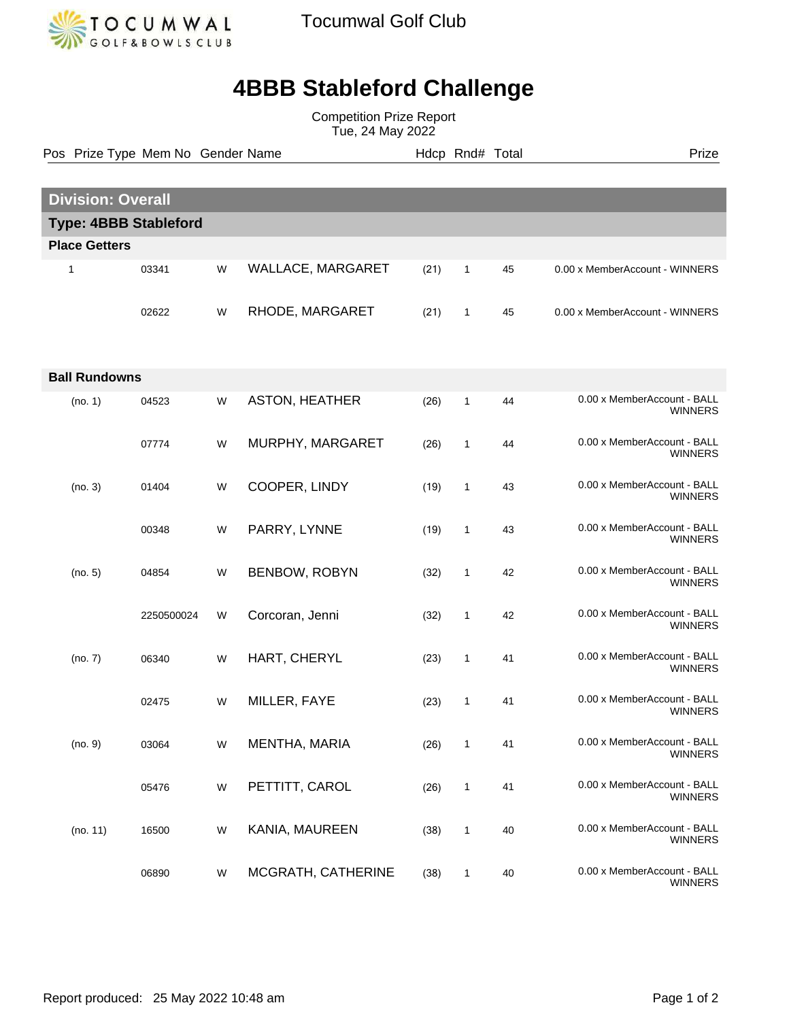

Tocumwal Golf Club

## **4BBB Stableford Challenge**

Competition Prize Report Tue, 24 May 2022

Pos Prize Type Mem No Gender Name **Hdcp Rnd# Total** Prize Prize

| <b>Division: Overall</b>     |            |   |                       |      |              |    |                                               |  |  |  |
|------------------------------|------------|---|-----------------------|------|--------------|----|-----------------------------------------------|--|--|--|
| <b>Type: 4BBB Stableford</b> |            |   |                       |      |              |    |                                               |  |  |  |
| <b>Place Getters</b>         |            |   |                       |      |              |    |                                               |  |  |  |
| 1                            | 03341      | W | WALLACE, MARGARET     | (21) | $\mathbf{1}$ | 45 | 0.00 x MemberAccount - WINNERS                |  |  |  |
|                              | 02622      | W | RHODE, MARGARET       | (21) | 1            | 45 | 0.00 x MemberAccount - WINNERS                |  |  |  |
| <b>Ball Rundowns</b>         |            |   |                       |      |              |    |                                               |  |  |  |
| (no. 1)                      | 04523      | W | <b>ASTON, HEATHER</b> | (26) | $\mathbf{1}$ | 44 | 0.00 x MemberAccount - BALL<br><b>WINNERS</b> |  |  |  |
|                              | 07774      | W | MURPHY, MARGARET      | (26) | $\mathbf{1}$ | 44 | 0.00 x MemberAccount - BALL<br><b>WINNERS</b> |  |  |  |
| (no. 3)                      | 01404      | W | COOPER, LINDY         | (19) | $\mathbf{1}$ | 43 | 0.00 x MemberAccount - BALL<br><b>WINNERS</b> |  |  |  |
|                              | 00348      | W | PARRY, LYNNE          | (19) | $\mathbf{1}$ | 43 | 0.00 x MemberAccount - BALL<br><b>WINNERS</b> |  |  |  |
| (no. 5)                      | 04854      | W | BENBOW, ROBYN         | (32) | $\mathbf{1}$ | 42 | 0.00 x MemberAccount - BALL<br><b>WINNERS</b> |  |  |  |
|                              | 2250500024 | W | Corcoran, Jenni       | (32) | $\mathbf{1}$ | 42 | 0.00 x MemberAccount - BALL<br><b>WINNERS</b> |  |  |  |
| (no. 7)                      | 06340      | W | HART, CHERYL          | (23) | $\mathbf{1}$ | 41 | 0.00 x MemberAccount - BALL<br><b>WINNERS</b> |  |  |  |
|                              | 02475      | W | MILLER, FAYE          | (23) | $\mathbf{1}$ | 41 | 0.00 x MemberAccount - BALL<br><b>WINNERS</b> |  |  |  |
| (no. 9)                      | 03064      | W | MENTHA, MARIA         | (26) | 1            | 41 | 0.00 x MemberAccount - BALL<br><b>WINNERS</b> |  |  |  |
|                              | 05476      | W | PETTITT, CAROL        | (26) | $\mathbf{1}$ | 41 | 0.00 x MemberAccount - BALL<br><b>WINNERS</b> |  |  |  |
| (no. 11)                     | 16500      | W | KANIA, MAUREEN        | (38) | $\mathbf{1}$ | 40 | 0.00 x MemberAccount - BALL<br><b>WINNERS</b> |  |  |  |
|                              | 06890      | W | MCGRATH, CATHERINE    | (38) | $\mathbf{1}$ | 40 | 0.00 x MemberAccount - BALL<br><b>WINNERS</b> |  |  |  |